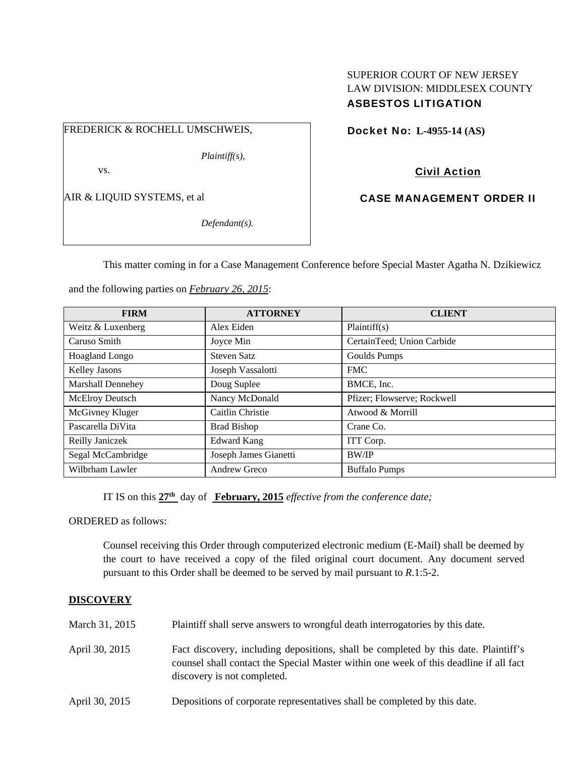# SUPERIOR COURT OF NEW JERSEY LAW DIVISION: MIDDLESEX COUNTY ASBESTOS LITIGATION

FREDERICK & ROCHELL UMSCHWEIS,

*Plaintiff(s),* 

vs.

AIR & LIQUID SYSTEMS, et al

*Defendant(s).* 

Docket No: **L-4955-14 (AS)** 

Civil Action

CASE MANAGEMENT ORDER II

This matter coming in for a Case Management Conference before Special Master Agatha N. Dzikiewicz

and the following parties on *February 26, 2015*:

| <b>FIRM</b>              | <b>ATTORNEY</b>       | <b>CLIENT</b>               |
|--------------------------|-----------------------|-----------------------------|
| Weitz & Luxenberg        | Alex Eiden            | Plaintiff(s)                |
| Caruso Smith             | Joyce Min             | CertainTeed; Union Carbide  |
| Hoagland Longo           | <b>Steven Satz</b>    | Goulds Pumps                |
| Kelley Jasons            | Joseph Vassalotti     | <b>FMC</b>                  |
| <b>Marshall Dennehey</b> | Doug Suplee           | BMCE, Inc.                  |
| McElroy Deutsch          | Nancy McDonald        | Pfizer; Flowserve; Rockwell |
| McGivney Kluger          | Caitlin Christie      | Atwood & Morrill            |
| Pascarella DiVita        | <b>Brad Bishop</b>    | Crane Co.                   |
| Reilly Janiczek          | <b>Edward Kang</b>    | ITT Corp.                   |
| Segal McCambridge        | Joseph James Gianetti | <b>BW/IP</b>                |
| Wilbrham Lawler          | Andrew Greco          | <b>Buffalo Pumps</b>        |

IT IS on this **27th** day of **February, 2015** *effective from the conference date;*

ORDERED as follows:

Counsel receiving this Order through computerized electronic medium (E-Mail) shall be deemed by the court to have received a copy of the filed original court document. Any document served pursuant to this Order shall be deemed to be served by mail pursuant to *R*.1:5-2.

## **DISCOVERY**

- March 31, 2015 Plaintiff shall serve answers to wrongful death interrogatories by this date.
- April 30, 2015 Fact discovery, including depositions, shall be completed by this date. Plaintiff's counsel shall contact the Special Master within one week of this deadline if all fact discovery is not completed.
- April 30, 2015 Depositions of corporate representatives shall be completed by this date.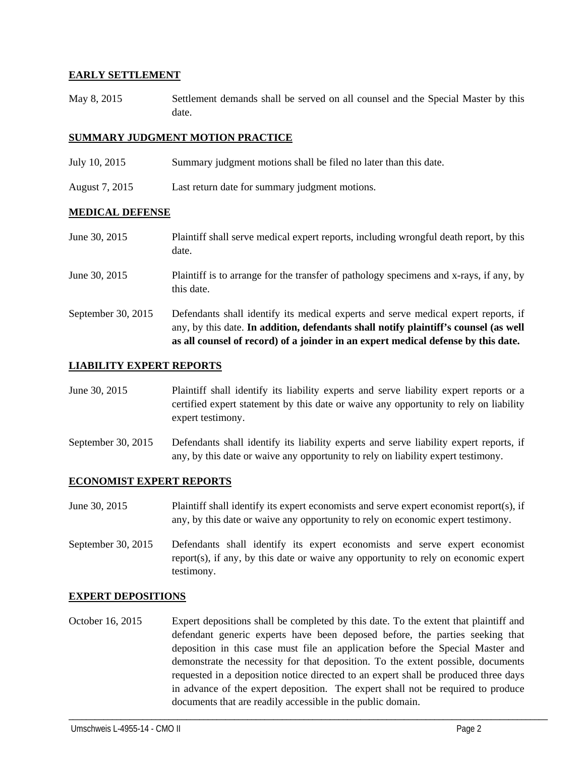## **EARLY SETTLEMENT**

May 8, 2015 Settlement demands shall be served on all counsel and the Special Master by this date.

## **SUMMARY JUDGMENT MOTION PRACTICE**

- July 10, 2015 Summary judgment motions shall be filed no later than this date.
- August 7, 2015 Last return date for summary judgment motions.

#### **MEDICAL DEFENSE**

- June 30, 2015 Plaintiff shall serve medical expert reports, including wrongful death report, by this date.
- June 30, 2015 Plaintiff is to arrange for the transfer of pathology specimens and x-rays, if any, by this date.
- September 30, 2015 Defendants shall identify its medical experts and serve medical expert reports, if any, by this date. **In addition, defendants shall notify plaintiff's counsel (as well as all counsel of record) of a joinder in an expert medical defense by this date.**

#### **LIABILITY EXPERT REPORTS**

- June 30, 2015 Plaintiff shall identify its liability experts and serve liability expert reports or a certified expert statement by this date or waive any opportunity to rely on liability expert testimony.
- September 30, 2015 Defendants shall identify its liability experts and serve liability expert reports, if any, by this date or waive any opportunity to rely on liability expert testimony.

## **ECONOMIST EXPERT REPORTS**

- June 30, 2015 Plaintiff shall identify its expert economists and serve expert economist report(s), if any, by this date or waive any opportunity to rely on economic expert testimony.
- September 30, 2015 Defendants shall identify its expert economists and serve expert economist report(s), if any, by this date or waive any opportunity to rely on economic expert testimony.

#### **EXPERT DEPOSITIONS**

October 16, 2015 Expert depositions shall be completed by this date. To the extent that plaintiff and defendant generic experts have been deposed before, the parties seeking that deposition in this case must file an application before the Special Master and demonstrate the necessity for that deposition. To the extent possible, documents requested in a deposition notice directed to an expert shall be produced three days in advance of the expert deposition. The expert shall not be required to produce documents that are readily accessible in the public domain.

\_\_\_\_\_\_\_\_\_\_\_\_\_\_\_\_\_\_\_\_\_\_\_\_\_\_\_\_\_\_\_\_\_\_\_\_\_\_\_\_\_\_\_\_\_\_\_\_\_\_\_\_\_\_\_\_\_\_\_\_\_\_\_\_\_\_\_\_\_\_\_\_\_\_\_\_\_\_\_\_\_\_\_\_\_\_\_\_\_\_\_\_\_\_\_\_\_\_\_\_\_\_\_\_\_\_\_\_\_\_